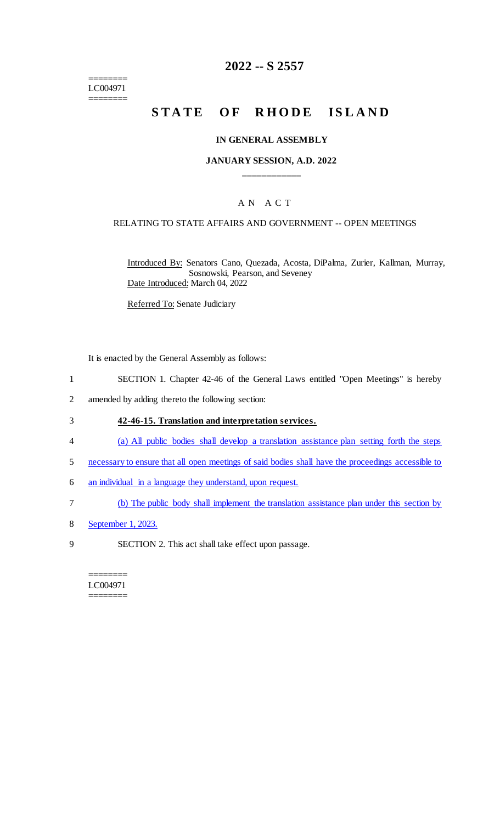======== LC004971 ========

## **2022 -- S 2557**

# **STATE OF RHODE ISLAND**

#### **IN GENERAL ASSEMBLY**

### **JANUARY SESSION, A.D. 2022 \_\_\_\_\_\_\_\_\_\_\_\_**

### A N A C T

#### RELATING TO STATE AFFAIRS AND GOVERNMENT -- OPEN MEETINGS

Introduced By: Senators Cano, Quezada, Acosta, DiPalma, Zurier, Kallman, Murray, Sosnowski, Pearson, and Seveney Date Introduced: March 04, 2022

Referred To: Senate Judiciary

It is enacted by the General Assembly as follows:

- 1 SECTION 1. Chapter 42-46 of the General Laws entitled "Open Meetings" is hereby
- 2 amended by adding thereto the following section:

#### 3 **42-46-15. Translation and interpretation services.**

- 4 (a) All public bodies shall develop a translation assistance plan setting forth the steps
- 5 necessary to ensure that all open meetings of said bodies shall have the proceedings accessible to
- 6 an individual in a language they understand, upon request.
- 7 (b) The public body shall implement the translation assistance plan under this section by
- 8 September 1, 2023.
- 9 SECTION 2. This act shall take effect upon passage.

#### ======== LC004971 ========